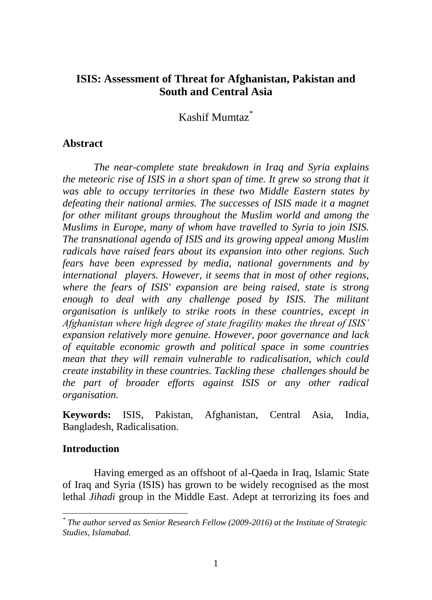# **ISIS: Assessment of Threat for Afghanistan, Pakistan and South and Central Asia**

Kashif Mumtaz\*

## **Abstract**

*The near-complete state breakdown in Iraq and Syria explains the meteoric rise of ISIS in a short span of time. It grew so strong that it was able to occupy territories in these two Middle Eastern states by defeating their national armies. The successes of ISIS made it a magnet for other militant groups throughout the Muslim world and among the Muslims in Europe, many of whom have travelled to Syria to join ISIS. The transnational agenda of ISIS and its growing appeal among Muslim radicals have raised fears about its expansion into other regions. Such fears have been expressed by media, national governments and by international players. However, it seems that in most of other regions, where the fears of ISIS' expansion are being raised, state is strong enough to deal with any challenge posed by ISIS. The militant organisation is unlikely to strike roots in these countries, except in Afghanistan where high degree of state fragility makes the threat of ISIS' expansion relatively more genuine. However, poor governance and lack of equitable economic growth and political space in some countries mean that they will remain vulnerable to radicalisation, which could create instability in these countries. Tackling these challenges should be the part of broader efforts against ISIS or any other radical organisation.*

**Keywords:** ISIS, Pakistan, Afghanistan, Central Asia, India, Bangladesh, Radicalisation.

## **Introduction**

Having emerged as an offshoot of al-Qaeda in Iraq, Islamic State of Iraq and Syria (ISIS) has grown to be widely recognised as the most lethal *Jihadi* group in the Middle East. Adept at terrorizing its foes and

 $\overline{a}$ *\* The author served as Senior Research Fellow (2009-2016) at the Institute of Strategic Studies, Islamabad.*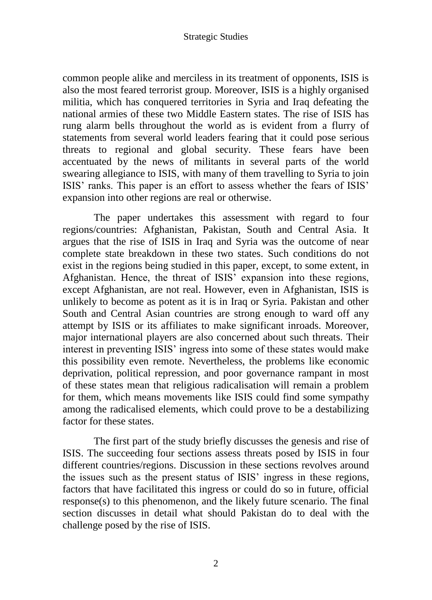common people alike and merciless in its treatment of opponents, ISIS is also the most feared terrorist group. Moreover, ISIS is a highly organised militia, which has conquered territories in Syria and Iraq defeating the national armies of these two Middle Eastern states. The rise of ISIS has rung alarm bells throughout the world as is evident from a flurry of statements from several world leaders fearing that it could pose serious threats to regional and global security. These fears have been accentuated by the news of militants in several parts of the world swearing allegiance to ISIS, with many of them travelling to Syria to join ISIS' ranks. This paper is an effort to assess whether the fears of ISIS' expansion into other regions are real or otherwise.

The paper undertakes this assessment with regard to four regions/countries: Afghanistan, Pakistan, South and Central Asia. It argues that the rise of ISIS in Iraq and Syria was the outcome of near complete state breakdown in these two states. Such conditions do not exist in the regions being studied in this paper, except, to some extent, in Afghanistan. Hence, the threat of ISIS' expansion into these regions, except Afghanistan, are not real. However, even in Afghanistan, ISIS is unlikely to become as potent as it is in Iraq or Syria. Pakistan and other South and Central Asian countries are strong enough to ward off any attempt by ISIS or its affiliates to make significant inroads. Moreover, major international players are also concerned about such threats. Their interest in preventing ISIS" ingress into some of these states would make this possibility even remote. Nevertheless, the problems like economic deprivation, political repression, and poor governance rampant in most of these states mean that religious radicalisation will remain a problem for them, which means movements like ISIS could find some sympathy among the radicalised elements, which could prove to be a destabilizing factor for these states.

The first part of the study briefly discusses the genesis and rise of ISIS. The succeeding four sections assess threats posed by ISIS in four different countries/regions. Discussion in these sections revolves around the issues such as the present status of ISIS" ingress in these regions, factors that have facilitated this ingress or could do so in future, official response(s) to this phenomenon, and the likely future scenario. The final section discusses in detail what should Pakistan do to deal with the challenge posed by the rise of ISIS.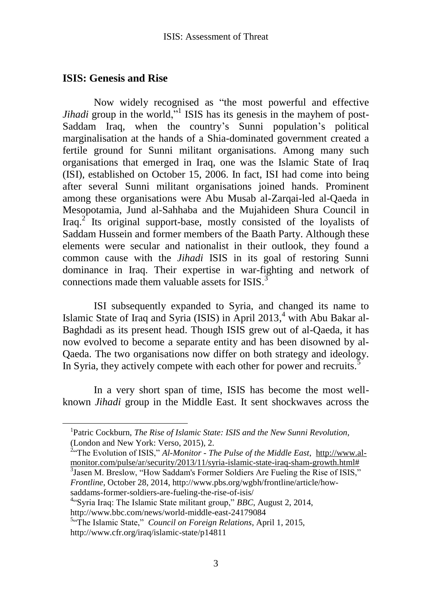## **ISIS: Genesis and Rise**

 $\overline{a}$ 

Now widely recognised as "the most powerful and effective *Jihadi* group in the world,"<sup>1</sup> ISIS has its genesis in the mayhem of post-Saddam Iraq, when the country's Sunni population's political marginalisation at the hands of a Shia-dominated government created a fertile ground for Sunni militant organisations. Among many such organisations that emerged in Iraq, one was the Islamic State of Iraq (ISI), established on October 15, 2006. In fact, ISI had come into being after several Sunni militant organisations joined hands. Prominent among these organisations were Abu Musab al-Zarqai-led al-Qaeda in Mesopotamia, Jund al-Sahhaba and the Mujahideen Shura Council in Iraq. $2^{\degree}$  Its original support-base, mostly consisted of the loyalists of Saddam Hussein and former members of the Baath Party. Although these elements were secular and nationalist in their outlook, they found a common cause with the *Jihadi* ISIS in its goal of restoring Sunni dominance in Iraq. Their expertise in war-fighting and network of connections made them valuable assets for  $ISIS<sup>3</sup>$ .

ISI subsequently expanded to Syria, and changed its name to Islamic State of Iraq and Syria (ISIS) in April 2013, <sup>4</sup> with Abu Bakar al-Baghdadi as its present head. Though ISIS grew out of al-Qaeda, it has now evolved to become a separate entity and has been disowned by al-Qaeda. The two organisations now differ on both strategy and ideology. In Syria, they actively compete with each other for power and recruits.<sup>5</sup>

In a very short span of time, ISIS has become the most wellknown *Jihadi* group in the Middle East. It sent shockwaves across the

<sup>3</sup> Jasen M. Breslow, "How Saddam's Former Soldiers Are Fueling the Rise of ISIS," *Frontline*, October 28, 2014, http://www.pbs.org/wgbh/frontline/article/howsaddams-former-soldiers-are-fueling-the-rise-of-isis/

4 "Syria Iraq: The Islamic State militant group," *BBC*, August 2, 2014, http://www.bbc.com/news/world-middle-east-24179084

<sup>&</sup>lt;sup>1</sup>Patric Cockburn, *The Rise of Islamic State: ISIS and the New Sunni Revolution,* (London and New York: Verso, 2015), 2.

<sup>2</sup> "The Evolution of ISIS," *Al-Monitor - The Pulse of the Middle East*, [http://www.al](http://www.al-monitor.com/pulse/ar/security/2013/11/syria-islamic-state-iraq-sham-growth.html)[monitor.com/pulse/ar/security/2013/11/syria-islamic-state-iraq-sham-growth.html#](http://www.al-monitor.com/pulse/ar/security/2013/11/syria-islamic-state-iraq-sham-growth.html)

<sup>5</sup> "The Islamic State," *Council on Foreign Relations*, April 1, 2015, http://www.cfr.org/iraq/islamic-state/p14811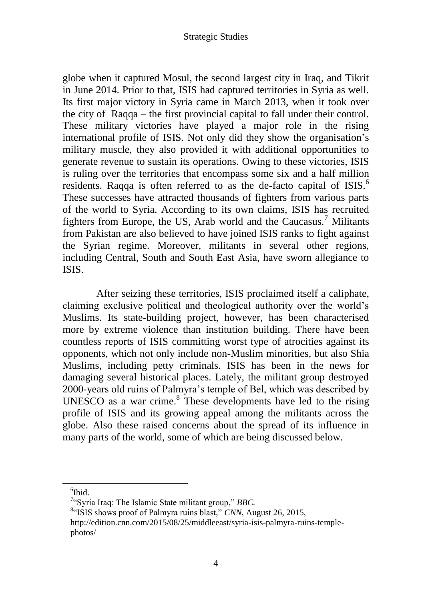globe when it captured Mosul, the second largest city in Iraq, and Tikrit in June 2014. Prior to that, ISIS had captured territories in Syria as well. Its first major victory in Syria came in March 2013, when it took over the city of Raqqa – the first provincial capital to fall under their control. These military victories have played a major role in the rising international profile of ISIS. Not only did they show the organisation"s military muscle, they also provided it with additional opportunities to generate revenue to sustain its operations. Owing to these victories, ISIS is ruling over the territories that encompass some six and a half million residents. Raqqa is often referred to as the de-facto capital of ISIS.<sup>6</sup> These successes have attracted thousands of fighters from various parts of the world to Syria. According to its own claims, ISIS has recruited fighters from Europe, the US, Arab world and the Caucasus.<sup>7</sup> Militants from Pakistan are also believed to have joined ISIS ranks to fight against the Syrian regime. Moreover, militants in several other regions, including Central, South and South East Asia, have sworn allegiance to ISIS.

After seizing these territories, ISIS proclaimed itself a caliphate, claiming exclusive political and theological authority over the world"s Muslims. Its state-building project, however, has been characterised more by extreme violence than institution building. There have been countless reports of ISIS committing worst type of atrocities against its opponents, which not only include non-Muslim minorities, but also Shia Muslims, including petty criminals. ISIS has been in the news for damaging several historical places. Lately, the militant group destroyed 2000-years old ruins of Palmyra"s temple of Bel, which was described by UNESCO as a war crime. $8$  These developments have led to the rising profile of ISIS and its growing appeal among the militants across the globe. Also these raised concerns about the spread of its influence in many parts of the world, some of which are being discussed below.

<sup>6</sup> Ibid.

<sup>7</sup> "Syria Iraq: The Islamic State militant group," *BBC.*

<sup>&</sup>lt;sup>8</sup>"ISIS shows proof of Palmyra ruins blast," CNN, August 26, 2015,

http://edition.cnn.com/2015/08/25/middleeast/syria-isis-palmyra-ruins-templephotos/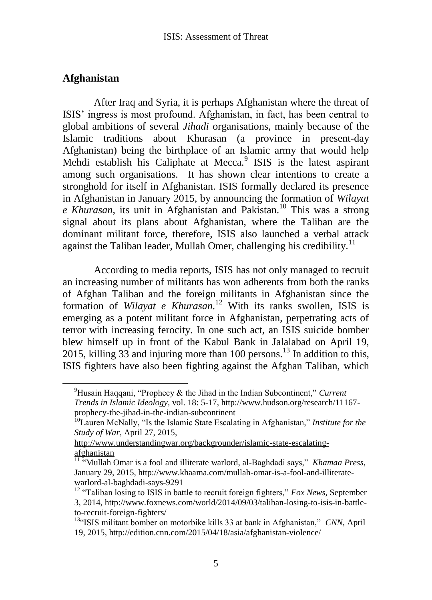## **Afghanistan**

 $\overline{a}$ 

After Iraq and Syria, it is perhaps Afghanistan where the threat of ISIS" ingress is most profound. Afghanistan, in fact, has been central to global ambitions of several *Jihadi* organisations, mainly because of the Islamic traditions about Khurasan (a province in present-day Afghanistan) being the birthplace of an Islamic army that would help Mehdi establish his Caliphate at Mecca.<sup>9</sup> ISIS is the latest aspirant among such organisations. It has shown clear intentions to create a stronghold for itself in Afghanistan. ISIS formally declared its presence in Afghanistan in January 2015, by announcing the formation of *Wilayat e Khurasan*, its unit in Afghanistan and Pakistan.<sup>10</sup> This was a strong signal about its plans about Afghanistan, where the Taliban are the dominant militant force, therefore, ISIS also launched a verbal attack against the Taliban leader, Mullah Omer, challenging his credibility.<sup>11</sup>

According to media reports, ISIS has not only managed to recruit an increasing number of militants has won adherents from both the ranks of Afghan Taliban and the foreign militants in Afghanistan since the formation of *Wilayat e Khurasan.* <sup>12</sup> With its ranks swollen, ISIS is emerging as a potent militant force in Afghanistan, perpetrating acts of terror with increasing ferocity. In one such act, an ISIS suicide bomber blew himself up in front of the Kabul Bank in Jalalabad on April 19, 2015, killing 33 and injuring more than 100 persons.<sup>13</sup> In addition to this, ISIS fighters have also been fighting against the Afghan Taliban, which

<sup>9</sup>Husain Haqqani, "Prophecy & the Jihad in the Indian Subcontinent," *Current Trends in Islamic Ideology,* vol. 18: 5-17, http://www.hudson.org/research/11167 prophecy-the-jihad-in-the-indian-subcontinent

<sup>10</sup>Lauren McNally, "Is the Islamic State Escalating in Afghanistan," *Institute for the Study of War*, April 27, 2015,

[http://www.understandingwar.org/backgrounder/islamic-state-escalating](http://www.understandingwar.org/backgrounder/islamic-state-escalating-afghanistan)[afghanistan](http://www.understandingwar.org/backgrounder/islamic-state-escalating-afghanistan)

<sup>11</sup> "Mullah Omar is a fool and illiterate warlord, al-Baghdadi says," *Khamaa Press*, January 29, 2015, http://www.khaama.com/mullah-omar-is-a-fool-and-illiteratewarlord-al-baghdadi-says-9291

<sup>&</sup>lt;sup>12</sup> "Taliban losing to ISIS in battle to recruit foreign fighters," *Fox News*, September 3, 2014, http://www.foxnews.com/world/2014/09/03/taliban-losing-to-isis-in-battleto-recruit-foreign-fighters/

<sup>&</sup>lt;sup>13"</sup>ISIS militant bomber on motorbike kills 33 at bank in Afghanistan," *CNN*, April 19, 2015, http://edition.cnn.com/2015/04/18/asia/afghanistan-violence/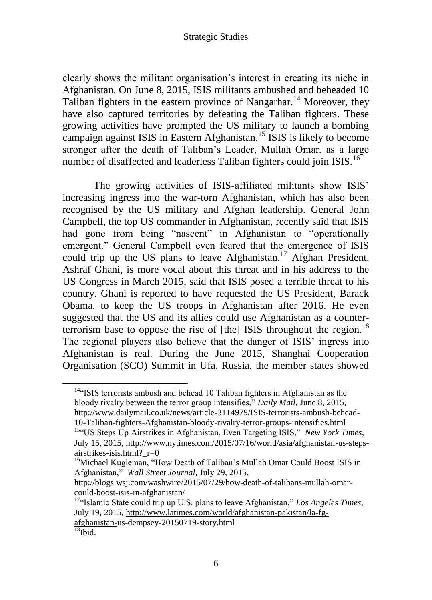clearly shows the militant organisation"s interest in creating its niche in Afghanistan. On June 8, 2015, ISIS militants ambushed and beheaded 10 Taliban fighters in the eastern province of Nangarhar.<sup>14</sup> Moreover, they have also captured territories by defeating the Taliban fighters. These growing activities have prompted the US military to launch a bombing campaign against ISIS in Eastern Afghanistan.<sup>15</sup> ISIS is likely to become stronger after the death of Taliban"s Leader, Mullah Omar, as a large number of disaffected and leaderless Taliban fighters could join ISIS.<sup>16</sup>

The growing activities of ISIS-affiliated militants show ISIS" increasing ingress into the war-torn Afghanistan, which has also been recognised by the US military and Afghan leadership. General John Campbell, the top US commander in Afghanistan, recently said that ISIS had gone from being "nascent" in Afghanistan to "operationally emergent." General Campbell even feared that the emergence of ISIS could trip up the US plans to leave Afghanistan.<sup>17</sup> Afghan President, Ashraf Ghani, is more vocal about this threat and in his address to the US Congress in March 2015, said that ISIS posed a terrible threat to his country. Ghani is reported to have requested the US President, Barack Obama, to keep the US troops in Afghanistan after 2016. He even suggested that the US and its allies could use Afghanistan as a counterterrorism base to oppose the rise of [the] ISIS throughout the region.<sup>18</sup> The regional players also believe that the danger of ISIS" ingress into Afghanistan is real. During the June 2015, Shanghai Cooperation Organisation (SCO) Summit in Ufa, Russia, the member states showed

 $14$ <sup>4 $\alpha$ </sup>ISIS terrorists ambush and behead 10 Taliban fighters in Afghanistan as the bloody rivalry between the terror group intensifies," *Daily Mail*, June 8, 2015, http://www.dailymail.co.uk/news/article-3114979/ISIS-terrorists-ambush-behead-10-Taliban-fighters-Afghanistan-bloody-rivalry-terror-groups-intensifies.html

<sup>&</sup>lt;sup>15"</sup>US Steps Up Airstrikes in Afghanistan, Even Targeting ISIS," *New York Times*, July 15, 2015, http://www.nytimes.com/2015/07/16/world/asia/afghanistan-us-stepsairstrikes-isis.html?\_r=0

<sup>&</sup>lt;sup>16</sup>Michael Kugleman, "How Death of Taliban's Mullah Omar Could Boost ISIS in Afghanistan," *Wall Street Journal,* July 29, 2015,

http://blogs.wsj.com/washwire/2015/07/29/how-death-of-talibans-mullah-omarcould-boost-isis-in-afghanistan/

<sup>&</sup>lt;sup>17"</sup>Islamic State could trip up U.S. plans to leave Afghanistan," *Los Angeles Times*, July 19, 2015[, http://www.latimes.com/world/afghanistan-pakistan/la-fg](http://www.latimes.com/world/afghanistan-pakistan/la-fg-afghanistan-)[afghanistan-u](http://www.latimes.com/world/afghanistan-pakistan/la-fg-afghanistan-)s-dempsey-20150719-story.html

 $18$ Ibid.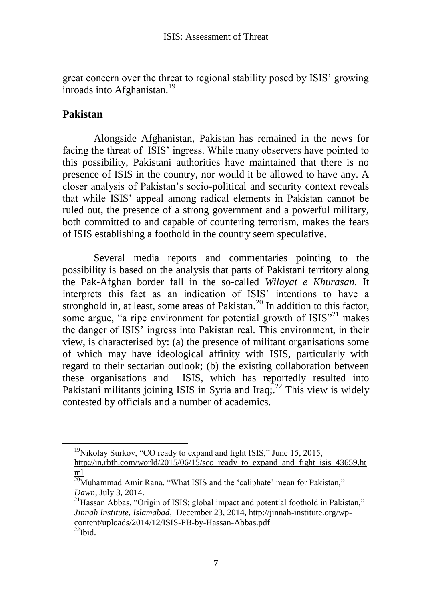great concern over the threat to regional stability posed by ISIS" growing inroads into Afghanistan.<sup>19</sup>

# **Pakistan**

Alongside Afghanistan, Pakistan has remained in the news for facing the threat of ISIS" ingress. While many observers have pointed to this possibility, Pakistani authorities have maintained that there is no presence of ISIS in the country, nor would it be allowed to have any. A closer analysis of Pakistan"s socio-political and security context reveals that while ISIS" appeal among radical elements in Pakistan cannot be ruled out, the presence of a strong government and a powerful military, both committed to and capable of countering terrorism, makes the fears of ISIS establishing a foothold in the country seem speculative.

Several media reports and commentaries pointing to the possibility is based on the analysis that parts of Pakistani territory along the Pak-Afghan border fall in the so-called *Wilayat e Khurasan*. It interprets this fact as an indication of ISIS" intentions to have a stronghold in, at least, some areas of Pakistan.<sup>20</sup> In addition to this factor, some argue, "a ripe environment for potential growth of  $ISIS''^{21}$  makes the danger of ISIS" ingress into Pakistan real. This environment, in their view, is characterised by: (a) the presence of militant organisations some of which may have ideological affinity with ISIS, particularly with regard to their sectarian outlook; (b) the existing collaboration between these organisations and ISIS, which has reportedly resulted into Pakistani militants joining ISIS in Syria and Iraq;  $2^2$  This view is widely contested by officials and a number of academics.

 $19$ <sup>19</sup>Nikolay Surkov, "CO ready to expand and fight ISIS," June 15, 2015, [http://in.rbth.com/world/2015/06/15/sco\\_ready\\_to\\_expand\\_and\\_fight\\_isis\\_43659.ht](http://in.rbth.com/world/2015/06/15/sco_ready_to_expand_and_fight_isis_43659.html) [ml](http://in.rbth.com/world/2015/06/15/sco_ready_to_expand_and_fight_isis_43659.html)

 $\overline{^{20}}$ Muhammad Amir Rana, "What ISIS and the 'caliphate' mean for Pakistan," *Dawn,* July 3, 2014.

<sup>&</sup>lt;sup>21</sup> Hassan Abbas, "Origin of ISIS; global impact and potential foothold in Pakistan," *Jinnah Institute, Islamabad*, December 23, 2014, http://jinnah-institute.org/wpcontent/uploads/2014/12/ISIS-PB-by-Hassan-Abbas.pdf  $^{22}$ Ibid.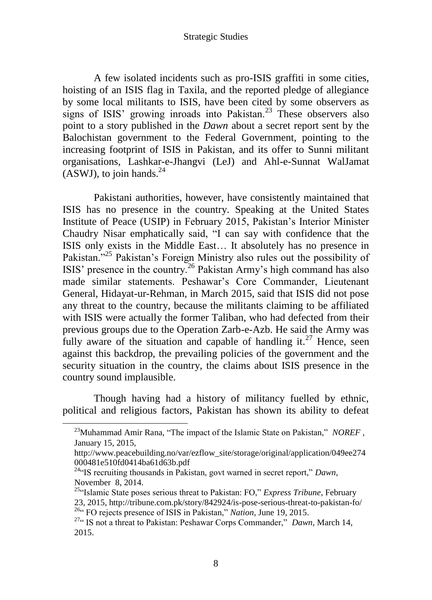A few isolated incidents such as pro-ISIS graffiti in some cities, hoisting of an ISIS flag in Taxila, and the reported pledge of allegiance by some local militants to ISIS, have been cited by some observers as signs of ISIS' growing inroads into Pakistan.<sup>23</sup> These observers also point to a story published in the *Dawn* about a secret report sent by the Balochistan government to the Federal Government, pointing to the increasing footprint of ISIS in Pakistan, and its offer to Sunni militant organisations, Lashkar-e-Jhangvi (LeJ) and Ahl-e-Sunnat WalJamat (ASWJ), to join hands. $^{24}$ 

Pakistani authorities, however, have consistently maintained that ISIS has no presence in the country. Speaking at the United States Institute of Peace (USIP) in February 2015, Pakistan"s Interior Minister Chaudry Nisar emphatically said, "I can say with confidence that the ISIS only exists in the Middle East… It absolutely has no presence in Pakistan."<sup>25</sup> Pakistan's Foreign Ministry also rules out the possibility of ISIS" presence in the country.<sup>26</sup> Pakistan Army"s high command has also made similar statements. Peshawar"s Core Commander, Lieutenant General, Hidayat-ur-Rehman, in March 2015, said that ISIS did not pose any threat to the country, because the militants claiming to be affiliated with ISIS were actually the former Taliban, who had defected from their previous groups due to the Operation Zarb-e-Azb. He said the Army was fully aware of the situation and capable of handling it.<sup>27</sup> Hence, seen against this backdrop, the prevailing policies of the government and the security situation in the country, the claims about ISIS presence in the country sound implausible.

Though having had a history of militancy fuelled by ethnic, political and religious factors, Pakistan has shown its ability to defeat

- <sup>25"</sup>Islamic State poses serious threat to Pakistan: FO," *Express Tribune*, February
- 23, 2015, http://tribune.com.pk/story/842924/is-pose-serious-threat-to-pakistan-fo/ <sup>26.</sup> FO rejects presence of ISIS in Pakistan," *Nation*, June 19, 2015.

<sup>&</sup>lt;sup>23</sup>Muhammad Amir Rana, "The impact of the Islamic State on Pakistan," *NOREF*, January 15, 2015,

http://www.peacebuilding.no/var/ezflow\_site/storage/original/application/049ee274 000481e510fd0414ba61d63b.pdf

<sup>24</sup>"IS recruiting thousands in Pakistan, govt warned in secret report," *Dawn*, November 8, 2014.

<sup>27</sup>" IS not a threat to Pakistan: Peshawar Corps Commander," *Dawn*, March 14, 2015.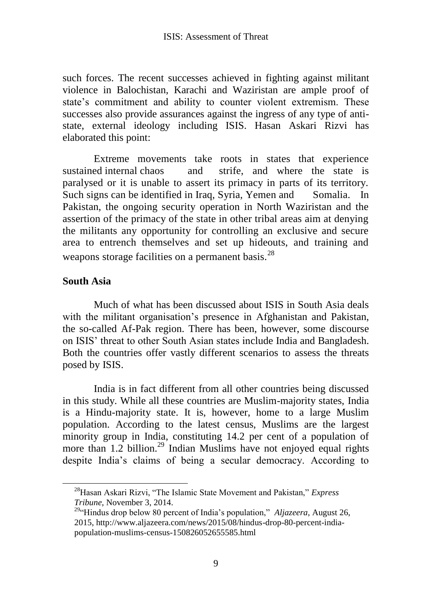such forces. The recent successes achieved in fighting against militant violence in Balochistan, Karachi and Waziristan are ample proof of state"s commitment and ability to counter violent extremism. These successes also provide assurances against the ingress of any type of antistate, external ideology including ISIS. Hasan Askari Rizvi has elaborated this point:

Extreme movements take roots in states that experience sustained internal chaos and strife, and where the state is paralysed or it is unable to assert its primacy in parts of its territory. Such signs can be identified in Iraq, Syria, Yemen and Somalia. In Pakistan, the ongoing security operation in North Waziristan and the assertion of the primacy of the state in other tribal areas aim at denying the militants any opportunity for controlling an exclusive and secure area to entrench themselves and set up hideouts, and training and weapons storage facilities on a permanent basis.<sup>28</sup>

## **South Asia**

 $\overline{a}$ 

Much of what has been discussed about ISIS in South Asia deals with the militant organisation's presence in Afghanistan and Pakistan, the so-called Af-Pak region. There has been, however, some discourse on ISIS" threat to other South Asian states include India and Bangladesh. Both the countries offer vastly different scenarios to assess the threats posed by ISIS.

India is in fact different from all other countries being discussed in this study. While all these countries are Muslim-majority states, India is a Hindu-majority state. It is, however, home to a large Muslim population. According to the latest census, Muslims are the largest minority group in India, constituting 14.2 per cent of a population of more than 1.2 billion.<sup>29</sup> Indian Muslims have not enjoyed equal rights despite India"s claims of being a secular democracy. According to

<sup>28</sup>Hasan Askari Rizvi, "The Islamic State Movement and Pakistan," *Express Tribune*, November 3, 2014.

<sup>&</sup>lt;sup>29"</sup>Hindus drop below 80 percent of India's population," *Aljazeera*, August 26, 2015, http://www.aljazeera.com/news/2015/08/hindus-drop-80-percent-indiapopulation-muslims-census-150826052655585.html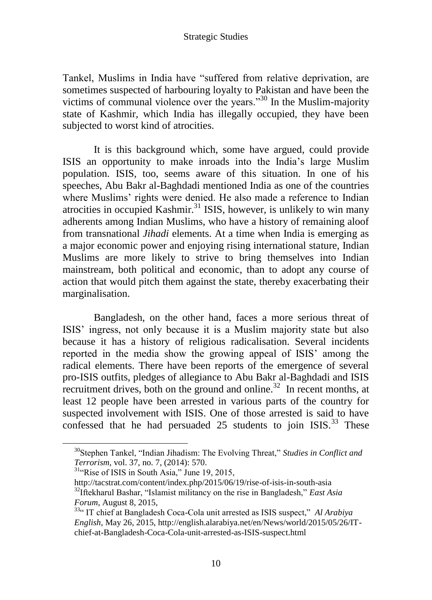Tankel, Muslims in India have "suffered from relative deprivation, are sometimes suspected of harbouring loyalty to Pakistan and have been the victims of communal violence over the years."<sup>30</sup> In the Muslim-majority state of Kashmir, which India has illegally occupied, they have been subjected to worst kind of atrocities.

It is this background which, some have argued, could provide ISIS an opportunity to make inroads into the India"s large Muslim population. ISIS, too, seems aware of this situation. In one of his speeches, Abu Bakr al-Baghdadi mentioned India as one of the countries where Muslims' rights were denied. He also made a reference to Indian atrocities in occupied Kashmir.<sup>31</sup> ISIS, however, is unlikely to win many adherents among Indian Muslims, who have a history of remaining aloof from transnational *Jihadi* elements. At a time when India is emerging as a major economic power and enjoying rising international stature, Indian Muslims are more likely to strive to bring themselves into Indian mainstream, both political and economic, than to adopt any course of action that would pitch them against the state, thereby exacerbating their marginalisation.

Bangladesh, on the other hand, faces a more serious threat of ISIS" ingress, not only because it is a Muslim majority state but also because it has a history of religious radicalisation. Several incidents reported in the media show the growing appeal of ISIS" among the radical elements. There have been reports of the emergence of several pro-ISIS outfits, pledges of allegiance to Abu Bakr al-Baghdadi and ISIS recruitment drives, both on the ground and online.<sup>32</sup> In recent months, at least 12 people have been arrested in various parts of the country for suspected involvement with ISIS. One of those arrested is said to have confessed that he had persuaded  $25$  students to join ISIS.<sup>33</sup> These

<sup>30</sup>Stephen Tankel, "Indian Jihadism: The Evolving Threat," *Studies in Conflict and Terrorism,* vol. 37, no. 7, (2014): 570.

<sup>&</sup>lt;sup>31</sup>"Rise of ISIS in South Asia," June 19, 2015,

http://tacstrat.com/content/index.php/2015/06/19/rise-of-isis-in-south-asia <sup>32</sup>Iftekharul Bashar, "Islamist militancy on the rise in Bangladesh," *East Asia Forum*, August 8, 2015,

<sup>&</sup>lt;sup>33"</sup> IT chief at Bangladesh Coca-Cola unit arrested as ISIS suspect," Al Arabiya *English*, May 26, 2015, http://english.alarabiya.net/en/News/world/2015/05/26/ITchief-at-Bangladesh-Coca-Cola-unit-arrested-as-ISIS-suspect.html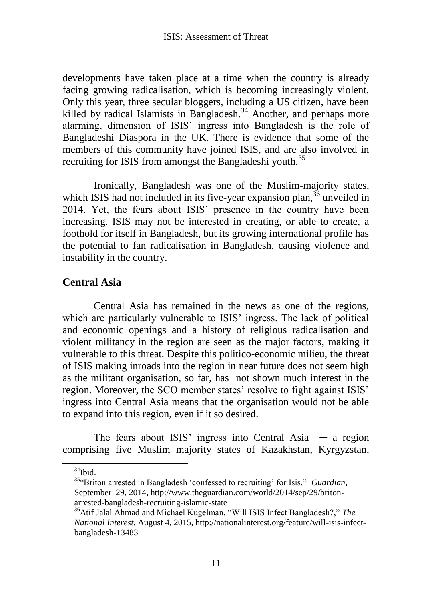developments have taken place at a time when the country is already facing growing radicalisation, which is becoming increasingly violent. Only this year, three secular bloggers, including a US citizen, have been killed by radical Islamists in Bangladesh.<sup>34</sup> Another, and perhaps more alarming, dimension of ISIS" ingress into Bangladesh is the role of Bangladeshi Diaspora in the UK. There is evidence that some of the members of this community have joined ISIS, and are also involved in recruiting for ISIS from amongst the Bangladeshi youth.<sup>35</sup>

Ironically, Bangladesh was one of the Muslim-majority states, which ISIS had not included in its five-year expansion plan,  $36$  unveiled in 2014. Yet, the fears about ISIS" presence in the country have been increasing. ISIS may not be interested in creating, or able to create, a foothold for itself in Bangladesh, but its growing international profile has the potential to fan radicalisation in Bangladesh, causing violence and instability in the country.

# **Central Asia**

Central Asia has remained in the news as one of the regions, which are particularly vulnerable to ISIS' ingress. The lack of political and economic openings and a history of religious radicalisation and violent militancy in the region are seen as the major factors, making it vulnerable to this threat. Despite this politico-economic milieu, the threat of ISIS making inroads into the region in near future does not seem high as the militant organisation, so far, has not shown much interest in the region. Moreover, the SCO member states' resolve to fight against ISIS' ingress into Central Asia means that the organisation would not be able to expand into this region, even if it so desired.

The fears about ISIS' ingress into Central Asia  $-$  a region comprising five Muslim majority states of Kazakhstan, Kyrgyzstan,

 $34$ Ibid.

<sup>&</sup>lt;sup>35.</sup> Briton arrested in Bangladesh 'confessed to recruiting' for Isis," *Guardian*, September 29, 2014, http://www.theguardian.com/world/2014/sep/29/britonarrested-bangladesh-recruiting-islamic-state

<sup>36</sup>Atif Jalal Ahmad and Michael Kugelman, "Will ISIS Infect Bangladesh?," *The National Interest,* August 4, 2015, http://nationalinterest.org/feature/will-isis-infectbangladesh-13483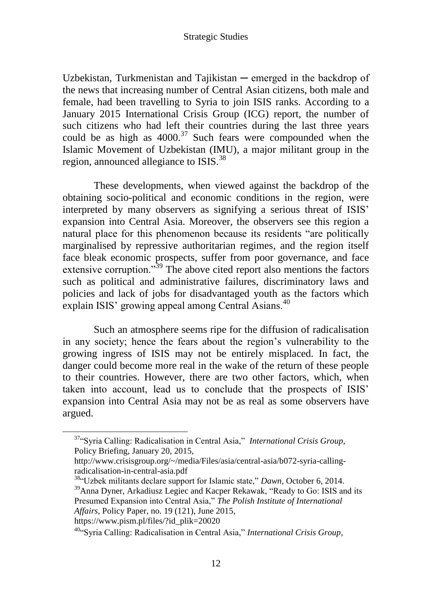Uzbekistan, Turkmenistan and Tajikistan — emerged in the backdrop of the news that increasing number of Central Asian citizens, both male and female, had been travelling to Syria to join ISIS ranks. According to a January 2015 International Crisis Group (ICG) report, the number of such citizens who had left their countries during the last three years could be as high as  $4000^{37}$  Such fears were compounded when the Islamic Movement of Uzbekistan (IMU), a major militant group in the region, announced allegiance to ISIS.<sup>38</sup>

These developments, when viewed against the backdrop of the obtaining socio-political and economic conditions in the region, were interpreted by many observers as signifying a serious threat of ISIS" expansion into Central Asia. Moreover, the observers see this region a natural place for this phenomenon because its residents "are politically marginalised by repressive authoritarian regimes, and the region itself face bleak economic prospects, suffer from poor governance, and face extensive corruption."<sup>39</sup> The above cited report also mentions the factors such as political and administrative failures, discriminatory laws and policies and lack of jobs for disadvantaged youth as the factors which explain ISIS' growing appeal among Central Asians.<sup>40</sup>

Such an atmosphere seems ripe for the diffusion of radicalisation in any society; hence the fears about the region"s vulnerability to the growing ingress of ISIS may not be entirely misplaced. In fact, the danger could become more real in the wake of the return of these people to their countries. However, there are two other factors, which, when taken into account, lead us to conclude that the prospects of ISIS" expansion into Central Asia may not be as real as some observers have argued.

<sup>38</sup>"Uzbek militants declare support for Islamic state," *Dawn*, October 6, 2014. <sup>39</sup>Anna Dyner, Arkadiusz Legiec and Kacper Rekawak, "Ready to Go: ISIS and its Presumed Expansion into Central Asia," *The Polish Institute of International Affairs*, Policy Paper, no. 19 (121), June 2015,

https://www.pism.pl/files/?id\_plik=20020

<sup>37</sup>"Syria Calling: Radicalisation in Central Asia," *International Crisis Group*, Policy Briefing, January 20, 2015,

http://www.crisisgroup.org/~/media/Files/asia/central-asia/b072-syria-callingradicalisation-in-central-asia.pdf

<sup>40</sup>"Syria Calling: Radicalisation in Central Asia," *International Crisis Group*,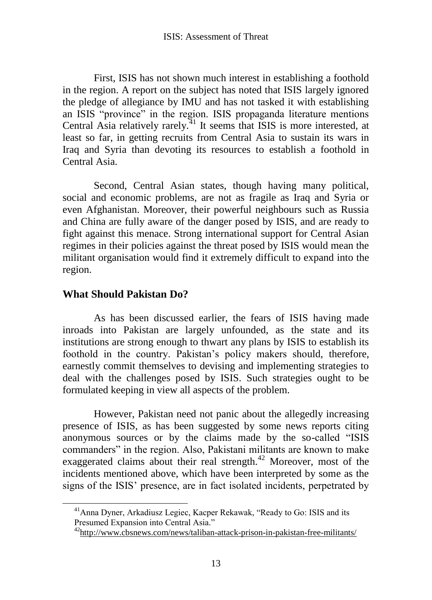First, ISIS has not shown much interest in establishing a foothold in the region. A report on the subject has noted that ISIS largely ignored the pledge of allegiance by IMU and has not tasked it with establishing an ISIS "province" in the region. ISIS propaganda literature mentions Central Asia relatively rarely.<sup> $41$ </sup> It seems that ISIS is more interested, at least so far, in getting recruits from Central Asia to sustain its wars in Iraq and Syria than devoting its resources to establish a foothold in Central Asia.

Second, Central Asian states, though having many political, social and economic problems, are not as fragile as Iraq and Syria or even Afghanistan. Moreover, their powerful neighbours such as Russia and China are fully aware of the danger posed by ISIS, and are ready to fight against this menace. Strong international support for Central Asian regimes in their policies against the threat posed by ISIS would mean the militant organisation would find it extremely difficult to expand into the region.

# **What Should Pakistan Do?**

As has been discussed earlier, the fears of ISIS having made inroads into Pakistan are largely unfounded, as the state and its institutions are strong enough to thwart any plans by ISIS to establish its foothold in the country. Pakistan"s policy makers should, therefore, earnestly commit themselves to devising and implementing strategies to deal with the challenges posed by ISIS. Such strategies ought to be formulated keeping in view all aspects of the problem.

However, Pakistan need not panic about the allegedly increasing presence of ISIS, as has been suggested by some news reports citing anonymous sources or by the claims made by the so-called "ISIS commanders" in the region. Also, Pakistani militants are known to make exaggerated claims about their real strength.<sup>42</sup> Moreover, most of the incidents mentioned above, which have been interpreted by some as the signs of the ISIS" presence, are in fact isolated incidents, perpetrated by

<sup>&</sup>lt;sup>41</sup>Anna Dyner, Arkadiusz Legiec, Kacper Rekawak, "Ready to Go: ISIS and its Presumed Expansion into Central Asia."

<sup>42</sup><http://www.cbsnews.com/news/taliban-attack-prison-in-pakistan-free-militants/>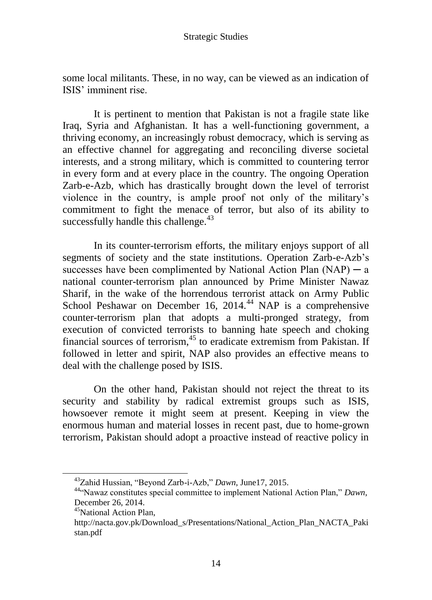some local militants. These, in no way, can be viewed as an indication of ISIS" imminent rise.

It is pertinent to mention that Pakistan is not a fragile state like Iraq, Syria and Afghanistan. It has a well-functioning government, a thriving economy, an increasingly robust democracy, which is serving as an effective channel for aggregating and reconciling diverse societal interests, and a strong military, which is committed to countering terror in every form and at every place in the country. The ongoing Operation Zarb-e-Azb, which has drastically brought down the level of terrorist violence in the country, is ample proof not only of the military"s commitment to fight the menace of terror, but also of its ability to successfully handle this challenge.<sup>43</sup>

In its counter-terrorism efforts, the military enjoys support of all segments of society and the state institutions. Operation Zarb-e-Azb"s successes have been complimented by National Action Plan  $(NAP)$  — a national counter-terrorism plan announced by Prime Minister Nawaz Sharif, in the wake of the horrendous terrorist attack on Army Public School Peshawar on December 16, 2014.<sup>44</sup> NAP is a comprehensive counter-terrorism plan that adopts a multi-pronged strategy, from execution of convicted terrorists to banning hate speech and choking financial sources of terrorism, $45$  to eradicate extremism from Pakistan. If followed in letter and spirit, NAP also provides an effective means to deal with the challenge posed by ISIS.

On the other hand, Pakistan should not reject the threat to its security and stability by radical extremist groups such as ISIS, howsoever remote it might seem at present. Keeping in view the enormous human and material losses in recent past, due to home-grown terrorism, Pakistan should adopt a proactive instead of reactive policy in

<sup>43</sup>Zahid Hussian, "Beyond Zarb-i-Azb," *Dawn*, June17, 2015.

<sup>44</sup>"Nawaz constitutes special committee to implement National Action Plan," *Dawn*, December 26, 2014.

<sup>&</sup>lt;sup>45</sup>National Action Plan,

http://nacta.gov.pk/Download\_s/Presentations/National\_Action\_Plan\_NACTA\_Paki stan.pdf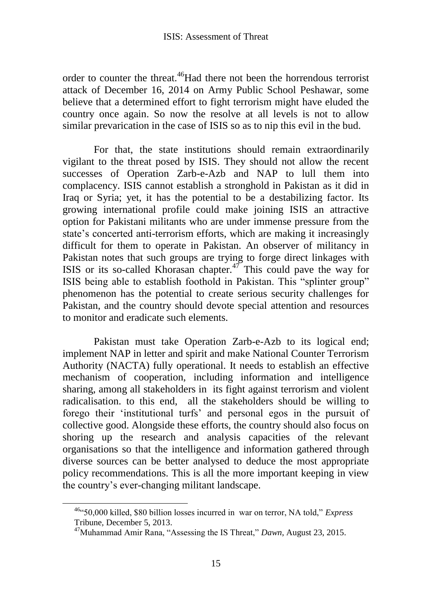order to counter the threat.<sup>46</sup>Had there not been the horrendous terrorist attack of December 16, 2014 on Army Public School Peshawar, some believe that a determined effort to fight terrorism might have eluded the country once again. So now the resolve at all levels is not to allow similar prevarication in the case of ISIS so as to nip this evil in the bud.

For that, the state institutions should remain extraordinarily vigilant to the threat posed by ISIS. They should not allow the recent successes of Operation Zarb-e-Azb and NAP to lull them into complacency. ISIS cannot establish a stronghold in Pakistan as it did in Iraq or Syria; yet, it has the potential to be a destabilizing factor. Its growing international profile could make joining ISIS an attractive option for Pakistani militants who are under immense pressure from the state's concerted anti-terrorism efforts, which are making it increasingly difficult for them to operate in Pakistan. An observer of militancy in Pakistan notes that such groups are trying to forge direct linkages with ISIS or its so-called Khorasan chapter.<sup>47</sup> This could pave the way for ISIS being able to establish foothold in Pakistan. This "splinter group" phenomenon has the potential to create serious security challenges for Pakistan, and the country should devote special attention and resources to monitor and eradicate such elements.

Pakistan must take Operation Zarb-e-Azb to its logical end; implement NAP in letter and spirit and make National Counter Terrorism Authority (NACTA) fully operational. It needs to establish an effective mechanism of cooperation, including information and intelligence sharing, among all stakeholders in its fight against terrorism and violent radicalisation. to this end, all the stakeholders should be willing to forego their "institutional turfs" and personal egos in the pursuit of collective good. Alongside these efforts, the country should also focus on shoring up the research and analysis capacities of the relevant organisations so that the intelligence and information gathered through diverse sources can be better analysed to deduce the most appropriate policy recommendations. This is all the more important keeping in view the country"s ever-changing militant landscape.

<sup>46</sup>"50,000 killed, \$80 billion losses incurred in war on terror, NA told," *Express*  Tribune*,* December 5, 2013.

<sup>47</sup>Muhammad Amir Rana, "Assessing the IS Threat," *Dawn*, August 23, 2015.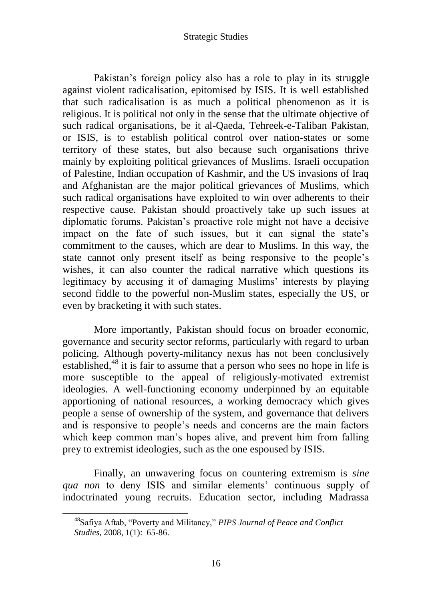Pakistan's foreign policy also has a role to play in its struggle against violent radicalisation, epitomised by ISIS. It is well established that such radicalisation is as much a political phenomenon as it is religious. It is political not only in the sense that the ultimate objective of such radical organisations, be it al-Qaeda, Tehreek-e-Taliban Pakistan, or ISIS, is to establish political control over nation-states or some territory of these states, but also because such organisations thrive mainly by exploiting political grievances of Muslims. Israeli occupation of Palestine, Indian occupation of Kashmir, and the US invasions of Iraq and Afghanistan are the major political grievances of Muslims, which such radical organisations have exploited to win over adherents to their respective cause. Pakistan should proactively take up such issues at diplomatic forums. Pakistan"s proactive role might not have a decisive impact on the fate of such issues, but it can signal the state's commitment to the causes, which are dear to Muslims. In this way, the state cannot only present itself as being responsive to the people"s wishes, it can also counter the radical narrative which questions its legitimacy by accusing it of damaging Muslims' interests by playing second fiddle to the powerful non-Muslim states, especially the US, or even by bracketing it with such states.

More importantly, Pakistan should focus on broader economic, governance and security sector reforms, particularly with regard to urban policing. Although poverty-militancy nexus has not been conclusively established,<sup>48</sup> it is fair to assume that a person who sees no hope in life is more susceptible to the appeal of religiously-motivated extremist ideologies. A well-functioning economy underpinned by an equitable apportioning of national resources, a working democracy which gives people a sense of ownership of the system, and governance that delivers and is responsive to people"s needs and concerns are the main factors which keep common man's hopes alive, and prevent him from falling prey to extremist ideologies, such as the one espoused by ISIS.

Finally, an unwavering focus on countering extremism is *sine qua non* to deny ISIS and similar elements' continuous supply of indoctrinated young recruits. Education sector, including Madrassa

<sup>48</sup>Safiya Aftab, "Poverty and Militancy," *PIPS Journal of Peace and Conflict Studies,* 2008, 1(1): 65-86.